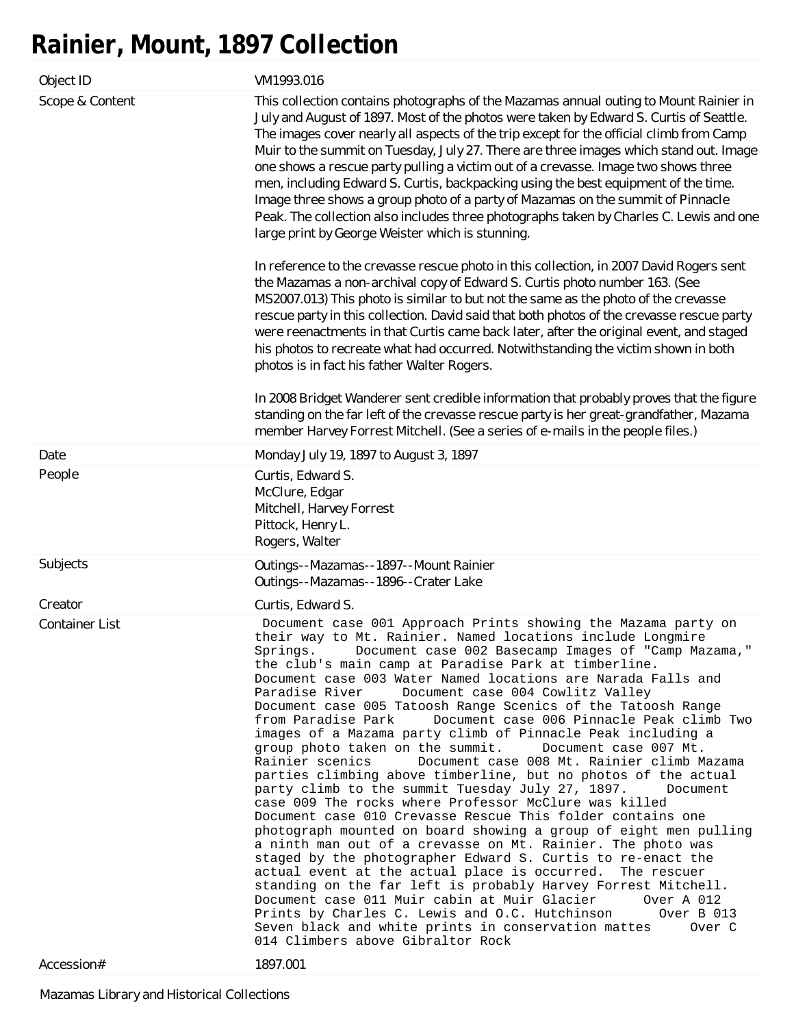## **Rainier, Mount, 1897 Collection**

| Object ID                           | VM1993.016                                                                                                                                                                                                                                                                                                                                                                                                                                                                                                                                                                                                                                                                                                                                                                                                                                                                                                                                                                                                                                                                                                                                                                                                                                                                                                                                                                                                                                                                                                                                                                                                                                         |
|-------------------------------------|----------------------------------------------------------------------------------------------------------------------------------------------------------------------------------------------------------------------------------------------------------------------------------------------------------------------------------------------------------------------------------------------------------------------------------------------------------------------------------------------------------------------------------------------------------------------------------------------------------------------------------------------------------------------------------------------------------------------------------------------------------------------------------------------------------------------------------------------------------------------------------------------------------------------------------------------------------------------------------------------------------------------------------------------------------------------------------------------------------------------------------------------------------------------------------------------------------------------------------------------------------------------------------------------------------------------------------------------------------------------------------------------------------------------------------------------------------------------------------------------------------------------------------------------------------------------------------------------------------------------------------------------------|
| Scope & Content                     | This collection contains photographs of the Mazamas annual outing to Mount Rainier in<br>July and August of 1897. Most of the photos were taken by Edward S. Curtis of Seattle.<br>The images cover nearly all aspects of the trip except for the official climb from Camp<br>Muir to the summit on Tuesday, July 27. There are three images which stand out. Image<br>one shows a rescue party pulling a victim out of a crevasse. Image two shows three<br>men, including Edward S. Curtis, backpacking using the best equipment of the time.<br>Image three shows a group photo of a party of Mazamas on the summit of Pinnacle<br>Peak. The collection also includes three photographs taken by Charles C. Lewis and one<br>large print by George Weister which is stunning.<br>In reference to the crevasse rescue photo in this collection, in 2007 David Rogers sent<br>the Mazamas a non-archival copy of Edward S. Curtis photo number 163. (See<br>MS2007.013) This photo is similar to but not the same as the photo of the crevasse<br>rescue party in this collection. David said that both photos of the crevasse rescue party<br>were reenactments in that Curtis came back later, after the original event, and staged<br>his photos to recreate what had occurred. Notwithstanding the victim shown in both<br>photos is in fact his father Walter Rogers.<br>In 2008 Bridget Wanderer sent credible information that probably proves that the figure<br>standing on the far left of the crevasse rescue party is her great-grandfather, Mazama<br>member Harvey Forrest Mitchell. (See a series of e-mails in the people files.) |
| Date                                | Monday July 19, 1897 to August 3, 1897                                                                                                                                                                                                                                                                                                                                                                                                                                                                                                                                                                                                                                                                                                                                                                                                                                                                                                                                                                                                                                                                                                                                                                                                                                                                                                                                                                                                                                                                                                                                                                                                             |
| People                              | Curtis, Edward S.<br>McClure, Edgar<br>Mitchell, Harvey Forrest<br>Pittock, Henry L.<br>Rogers, Walter                                                                                                                                                                                                                                                                                                                                                                                                                                                                                                                                                                                                                                                                                                                                                                                                                                                                                                                                                                                                                                                                                                                                                                                                                                                                                                                                                                                                                                                                                                                                             |
| Subjects                            | Outings--Mazamas--1897--Mount Rainier<br>Outings--Mazamas--1896--Crater Lake                                                                                                                                                                                                                                                                                                                                                                                                                                                                                                                                                                                                                                                                                                                                                                                                                                                                                                                                                                                                                                                                                                                                                                                                                                                                                                                                                                                                                                                                                                                                                                       |
| Creator                             | Curtis, Edward S.                                                                                                                                                                                                                                                                                                                                                                                                                                                                                                                                                                                                                                                                                                                                                                                                                                                                                                                                                                                                                                                                                                                                                                                                                                                                                                                                                                                                                                                                                                                                                                                                                                  |
| <b>Container List</b><br>Accession# | Document case 001 Approach Prints showing the Mazama party on<br>their way to Mt. Rainier. Named locations include Longmire<br>Springs. Document case 002 Basecamp Images of "Camp Mazama,"<br>the club's main camp at Paradise Park at timberline.<br>Document case 003 Water Named locations are Narada Falls and<br>Paradise River<br>Document case 004 Cowlitz Valley<br>Document case 005 Tatoosh Range Scenics of the Tatoosh Range<br>from Paradise Park<br>Document case 006 Pinnacle Peak climb Two<br>images of a Mazama party climb of Pinnacle Peak including a<br>group photo taken on the summit. Document case 007 Mt.<br>Document case 008 Mt. Rainier climb Mazama<br>Rainier scenics<br>parties climbing above timberline, but no photos of the actual<br>party climb to the summit Tuesday July 27, 1897.<br>Document<br>case 009 The rocks where Professor McClure was killed<br>Document case 010 Crevasse Rescue This folder contains one<br>photograph mounted on board showing a group of eight men pulling<br>a ninth man out of a crevasse on Mt. Rainier. The photo was<br>staged by the photographer Edward S. Curtis to re-enact the<br>actual event at the actual place is occurred. The rescuer<br>standing on the far left is probably Harvey Forrest Mitchell.<br>Document case 011 Muir cabin at Muir Glacier<br>Over A 012<br>Prints by Charles C. Lewis and O.C. Hutchinson<br>Over B 013<br>Seven black and white prints in conservation mattes<br>Over C<br>014 Climbers above Gibraltor Rock<br>1897.001                                                                                                    |